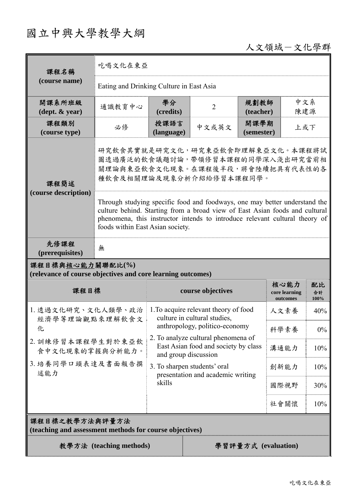## 國立中興大學教學大綱

## 人文領域-文化學群

| 課程名稱                                                                              | 吃喝文化在東亞                                                                                                                                                                                                                                                                                                                                                                                                              |                                                                                                                                                                                                                |                |                                   |                  |            |  |
|-----------------------------------------------------------------------------------|----------------------------------------------------------------------------------------------------------------------------------------------------------------------------------------------------------------------------------------------------------------------------------------------------------------------------------------------------------------------------------------------------------------------|----------------------------------------------------------------------------------------------------------------------------------------------------------------------------------------------------------------|----------------|-----------------------------------|------------------|------------|--|
| (course name)                                                                     | Eating and Drinking Culture in East Asia                                                                                                                                                                                                                                                                                                                                                                             |                                                                                                                                                                                                                |                |                                   |                  |            |  |
| 開課系所班級<br>$(\text{dept.} \& \text{ year})$                                        | 通識教育中心                                                                                                                                                                                                                                                                                                                                                                                                               | 學分<br>(credits)                                                                                                                                                                                                | $\overline{2}$ | 規劃教師<br>(teacher)                 |                  | 中文系<br>陳建源 |  |
| 課程類別<br>(course type)                                                             | 必修                                                                                                                                                                                                                                                                                                                                                                                                                   | 授課語言<br>(language)                                                                                                                                                                                             | 中文或英文          | 開課學期<br>(semester)                | 上或下              |            |  |
| 課程簡述<br>(course description)                                                      | 研究飲食其實就是研究文化,研究東亞飲食即理解東亞文化。本課程將試<br>圖透過廣泛的飲食議題討論,帶領修習本課程的同學深入淺出研究當前相<br>關理論與東亞飲食文化現象。在課程後半段,將會陸續把具有代表性的各<br>種飲食及相關理論及現象分析介紹給修習本課程同學。<br>Through studying specific food and foodways, one may better understand the<br>culture behind. Starting from a broad view of East Asian foods and cultural<br>phenomena, this instructor intends to introduce relevant cultural theory of<br>foods within East Asian society. |                                                                                                                                                                                                                |                |                                   |                  |            |  |
| 先修課程<br>(prerequisites)                                                           | 無                                                                                                                                                                                                                                                                                                                                                                                                                    |                                                                                                                                                                                                                |                |                                   |                  |            |  |
| 課程目標與核心能力關聯配比(%)<br>(relevance of course objectives and core learning outcomes)   |                                                                                                                                                                                                                                                                                                                                                                                                                      |                                                                                                                                                                                                                |                |                                   |                  |            |  |
| 課程目標                                                                              |                                                                                                                                                                                                                                                                                                                                                                                                                      | course objectives                                                                                                                                                                                              |                | 核心能力<br>core learning<br>outcomes | 配比<br>合計<br>100% |            |  |
| 1. 透過文化研究、文化人類學、政治<br>經濟學等理論觀點來理解飲食文<br>化<br>2. 訓練修習本課程學生對於東亞飲<br>食中文化現象的掌握與分析能力。 |                                                                                                                                                                                                                                                                                                                                                                                                                      | 1. To acquire relevant theory of food<br>culture in cultural studies,<br>anthropology, politico-economy<br>2. To analyze cultural phenomena of<br>East Asian food and society by class<br>and group discussion |                | 人文素養                              | 40%              |            |  |
|                                                                                   |                                                                                                                                                                                                                                                                                                                                                                                                                      |                                                                                                                                                                                                                |                | 科學素養                              | $0\%$            |            |  |
|                                                                                   |                                                                                                                                                                                                                                                                                                                                                                                                                      |                                                                                                                                                                                                                |                | 溝通能力                              | 10%              |            |  |
| 3. 培養同學口頭表達及書面報告撰<br>述能力                                                          |                                                                                                                                                                                                                                                                                                                                                                                                                      | 3. To sharpen students' oral<br>presentation and academic writing<br>skills                                                                                                                                    |                | 創新能力                              | 10%              |            |  |
|                                                                                   |                                                                                                                                                                                                                                                                                                                                                                                                                      |                                                                                                                                                                                                                |                | 國際視野                              | 30%              |            |  |
|                                                                                   |                                                                                                                                                                                                                                                                                                                                                                                                                      |                                                                                                                                                                                                                |                |                                   | 社會關懷             | 10%        |  |
| 課程目標之教學方法與評量方法<br>(teaching and assessment methods for course objectives)         |                                                                                                                                                                                                                                                                                                                                                                                                                      |                                                                                                                                                                                                                |                |                                   |                  |            |  |
| 教學方法 (teaching methods)<br>學習評量方式 (evaluation)                                    |                                                                                                                                                                                                                                                                                                                                                                                                                      |                                                                                                                                                                                                                |                |                                   |                  |            |  |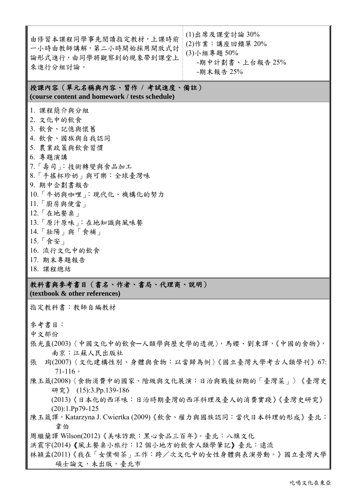| 由修習本課程同學事先閱讀指定教材,上課時前<br>一小時由教師講解,第二小時開始採用開放式討<br>論形式進行,由同學將觀察到的現象帶到課堂上<br>來進行分組討論。                                                                                                                                                                                                                   | $(1)$ 出席及課堂討論 30%<br>(2)作業:講座回饋單 20%<br>(3)小組專題 50%<br>-期中計劃書、上台報告25%<br>-期末報告 25% |  |  |  |  |
|-------------------------------------------------------------------------------------------------------------------------------------------------------------------------------------------------------------------------------------------------------------------------------------------------------|------------------------------------------------------------------------------------|--|--|--|--|
| 授課內容(單元名稱與內容、習作 / 考試進度、備註)<br>(course content and homework / tests schedule)                                                                                                                                                                                                                          |                                                                                    |  |  |  |  |
| 1. 課程簡介與分組<br>2. 文化中的飲食<br>3. 飲食、記憶與懷舊<br>4. 飲食、國族與自我認同<br>5. 農業政策與飲食習慣<br>6. 專題演講<br>7.「壽司」:技術轉變與食品加工<br>8.「手搖杯珍奶」與可樂:全球臺灣味<br>9. 期中企劃書報告<br>10.「牛奶與咖哩」:現代化、機構化的努力<br>11.「廚房與便當」<br>12. 「在地餐桌」<br>13. 「原汁原味」: 在地知識與風味餐<br>$14.$ 「 壯陽 」 與 「 食補 」<br>15.「食安」<br>16. 流行文化中的飲食<br>17. 期末專題報告<br>18. 課程總結 |                                                                                    |  |  |  |  |
| 教科書與參考書目(書名、作者、書局、代理商、說明)<br>(textbook & other references)                                                                                                                                                                                                                                            |                                                                                    |  |  |  |  |
| 指定教科書:教師自編教材                                                                                                                                                                                                                                                                                          |                                                                                    |  |  |  |  |

參考書目:

中文部份

- 張光直(2003)〈中國文化中的飲食─人類學與歷史學的透視〉,馬孆、劉東譯,《中國的食物》, 南京:江蘇人民出版社
- 張 珣(2007)〈文化建構性別、身體與食物:以當歸為例〉《國立臺灣大學考古人類學刊》67: 71-116。
- 陳玉箴(2008)〈食物消費中的國家、階級與文化展演:日治與戰後初期的「臺灣菜」〉《臺灣史 研究》 (15):3.Pp.139-186
	- (2013)〈日本化的西洋味:日治時期臺灣的西洋料理及臺人的消費實踐〉《臺灣史研究》 (20):1.Pp79-125
- 陳玉箴譯, Katarzyna J. Cwiertka (2009)《飲食、權力與國族認同:當代日本料理的形成》臺北: 韋伯
- 周繼蘭譯 Wilson(2012)《美味詐欺:黑心食品三百年》。臺北:八旗文化
- 洪震宇(2014)《風土餐桌小旅行:12 個小地方的飲食人類學筆記》臺北:遠流
- 林穎孟(2011)《我在「女僕喫茶」工作:跨/次文化中的女性身體與表演勞動。》國立臺灣大學 碩士論文,未出版,臺北市